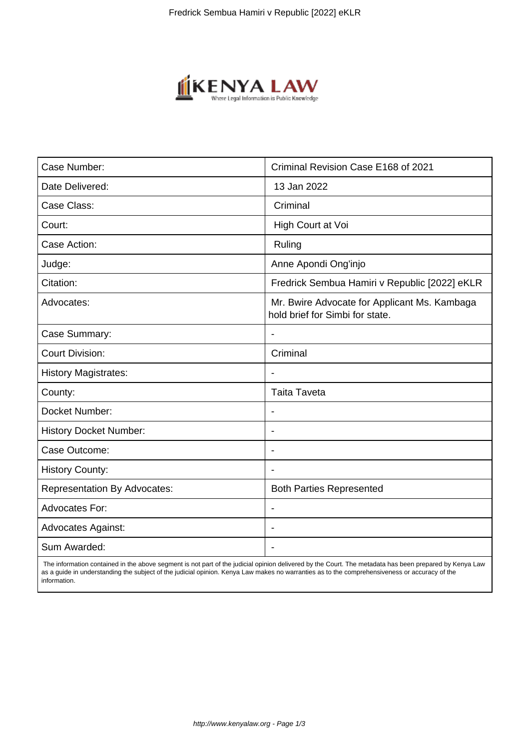

| Case Number:                        | Criminal Revision Case E168 of 2021                                             |
|-------------------------------------|---------------------------------------------------------------------------------|
| Date Delivered:                     | 13 Jan 2022                                                                     |
| Case Class:                         | Criminal                                                                        |
| Court:                              | High Court at Voi                                                               |
| Case Action:                        | Ruling                                                                          |
| Judge:                              | Anne Apondi Ong'injo                                                            |
| Citation:                           | Fredrick Sembua Hamiri v Republic [2022] eKLR                                   |
| Advocates:                          | Mr. Bwire Advocate for Applicant Ms. Kambaga<br>hold brief for Simbi for state. |
| Case Summary:                       |                                                                                 |
| <b>Court Division:</b>              | Criminal                                                                        |
| <b>History Magistrates:</b>         | $\blacksquare$                                                                  |
| County:                             | <b>Taita Taveta</b>                                                             |
| Docket Number:                      |                                                                                 |
| <b>History Docket Number:</b>       |                                                                                 |
| Case Outcome:                       |                                                                                 |
| <b>History County:</b>              | $\blacksquare$                                                                  |
| <b>Representation By Advocates:</b> | <b>Both Parties Represented</b>                                                 |
| Advocates For:                      |                                                                                 |
| <b>Advocates Against:</b>           |                                                                                 |
| Sum Awarded:                        |                                                                                 |

 The information contained in the above segment is not part of the judicial opinion delivered by the Court. The metadata has been prepared by Kenya Law as a guide in understanding the subject of the judicial opinion. Kenya Law makes no warranties as to the comprehensiveness or accuracy of the information.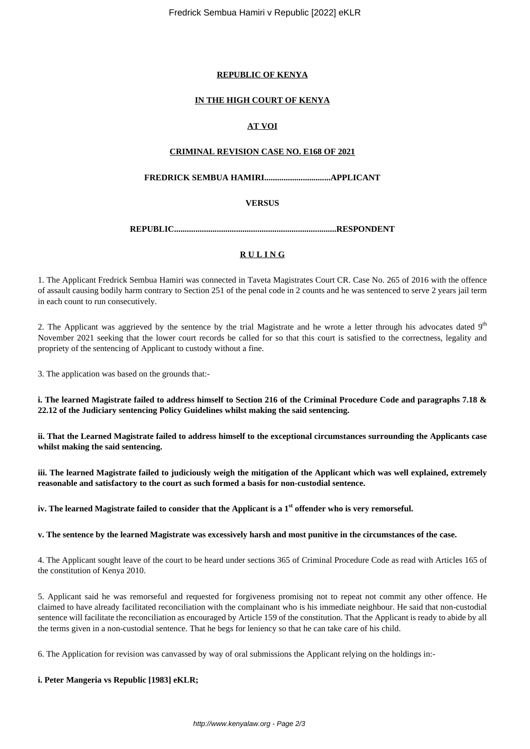Fredrick Sembua Hamiri v Republic [2022] eKLR

#### **REPUBLIC OF KENYA**

#### **IN THE HIGH COURT OF KENYA**

## **AT VOI**

#### **CRIMINAL REVISION CASE NO. E168 OF 2021**

#### **FREDRICK SEMBUA HAMIRI...............................APPLICANT**

#### **VERSUS**

**REPUBLIC............................................................................RESPONDENT**

## **R U L I N G**

1. The Applicant Fredrick Sembua Hamiri was connected in Taveta Magistrates Court CR. Case No. 265 of 2016 with the offence of assault causing bodily harm contrary to Section 251 of the penal code in 2 counts and he was sentenced to serve 2 years jail term in each count to run consecutively.

2. The Applicant was aggrieved by the sentence by the trial Magistrate and he wrote a letter through his advocates dated  $9<sup>th</sup>$ November 2021 seeking that the lower court records be called for so that this court is satisfied to the correctness, legality and propriety of the sentencing of Applicant to custody without a fine.

3. The application was based on the grounds that:-

**i. The learned Magistrate failed to address himself to Section 216 of the Criminal Procedure Code and paragraphs 7.18 & 22.12 of the Judiciary sentencing Policy Guidelines whilst making the said sentencing.**

**ii. That the Learned Magistrate failed to address himself to the exceptional circumstances surrounding the Applicants case whilst making the said sentencing.**

**iii. The learned Magistrate failed to judiciously weigh the mitigation of the Applicant which was well explained, extremely reasonable and satisfactory to the court as such formed a basis for non-custodial sentence.**

**iv. The learned Magistrate failed to consider that the Applicant is a 1st offender who is very remorseful.**

**v. The sentence by the learned Magistrate was excessively harsh and most punitive in the circumstances of the case.**

4. The Applicant sought leave of the court to be heard under sections 365 of Criminal Procedure Code as read with Articles 165 of the constitution of Kenya 2010.

5. Applicant said he was remorseful and requested for forgiveness promising not to repeat not commit any other offence. He claimed to have already facilitated reconciliation with the complainant who is his immediate neighbour. He said that non-custodial sentence will facilitate the reconciliation as encouraged by Article 159 of the constitution. That the Applicant is ready to abide by all the terms given in a non-custodial sentence. That he begs for leniency so that he can take care of his child.

6. The Application for revision was canvassed by way of oral submissions the Applicant relying on the holdings in:-

#### **i. Peter Mangeria vs Republic [1983] eKLR;**